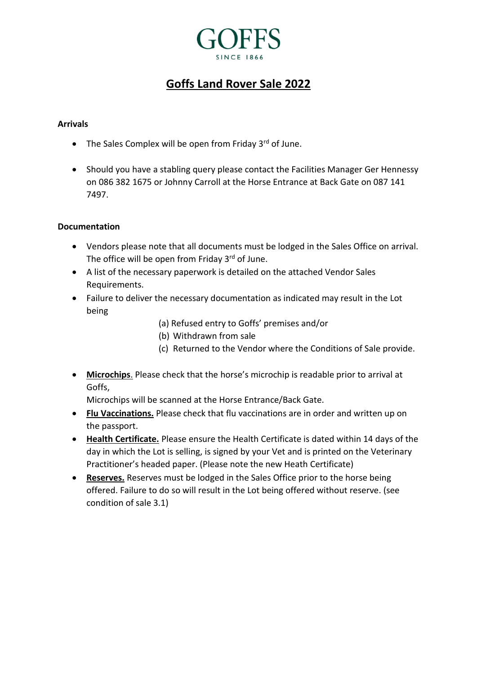## **SINCE 1866**

### **Goffs Land Rover Sale 2022**

#### **Arrivals**

- The Sales Complex will be open from Friday  $3^{rd}$  of June.
- Should you have a stabling query please contact the Facilities Manager Ger Hennessy on 086 382 1675 or Johnny Carroll at the Horse Entrance at Back Gate on 087 141 7497.

#### **Documentation**

- Vendors please note that all documents must be lodged in the Sales Office on arrival. The office will be open from Friday 3<sup>rd</sup> of June.
- A list of the necessary paperwork is detailed on the attached Vendor Sales Requirements.
- Failure to deliver the necessary documentation as indicated may result in the Lot being
	- (a) Refused entry to Goffs' premises and/or
	- (b) Withdrawn from sale
	- (c) Returned to the Vendor where the Conditions of Sale provide.
- **Microchips**. Please check that the horse's microchip is readable prior to arrival at Goffs,

Microchips will be scanned at the Horse Entrance/Back Gate.

- **Flu Vaccinations.** Please check that flu vaccinations are in order and written up on the passport.
- **Health Certificate.** Please ensure the Health Certificate is dated within 14 days of the day in which the Lot is selling, is signed by your Vet and is printed on the Veterinary Practitioner's headed paper. (Please note the new Heath Certificate)
- **Reserves.** Reserves must be lodged in the Sales Office prior to the horse being offered. Failure to do so will result in the Lot being offered without reserve. (see condition of sale 3.1)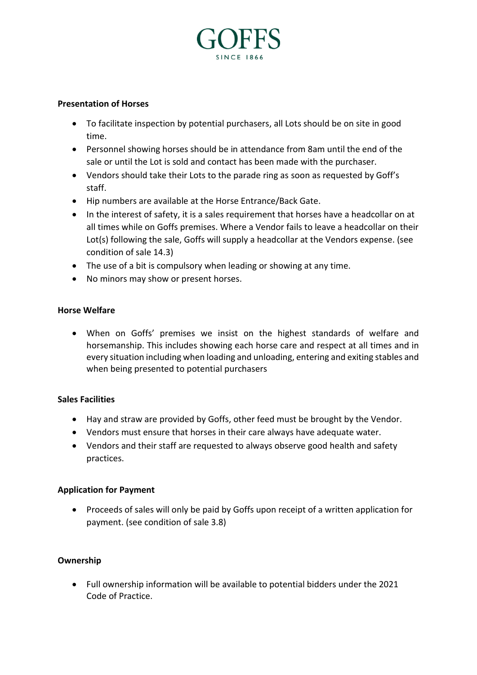# **SINCE 1866**

#### **Presentation of Horses**

- To facilitate inspection by potential purchasers, all Lots should be on site in good time.
- Personnel showing horses should be in attendance from 8am until the end of the sale or until the Lot is sold and contact has been made with the purchaser.
- Vendors should take their Lots to the parade ring as soon as requested by Goff's staff.
- Hip numbers are available at the Horse Entrance/Back Gate.
- In the interest of safety, it is a sales requirement that horses have a headcollar on at all times while on Goffs premises. Where a Vendor fails to leave a headcollar on their Lot(s) following the sale, Goffs will supply a headcollar at the Vendors expense. (see condition of sale 14.3)
- The use of a bit is compulsory when leading or showing at any time.
- No minors may show or present horses.

#### **Horse Welfare**

• When on Goffs' premises we insist on the highest standards of welfare and horsemanship. This includes showing each horse care and respect at all times and in every situation including when loading and unloading, entering and exiting stables and when being presented to potential purchasers

#### **Sales Facilities**

- Hay and straw are provided by Goffs, other feed must be brought by the Vendor.
- Vendors must ensure that horses in their care always have adequate water.
- Vendors and their staff are requested to always observe good health and safety practices.

#### **Application for Payment**

• Proceeds of sales will only be paid by Goffs upon receipt of a written application for payment. (see condition of sale 3.8)

#### **Ownership**

• Full ownership information will be available to potential bidders under the 2021 Code of Practice.